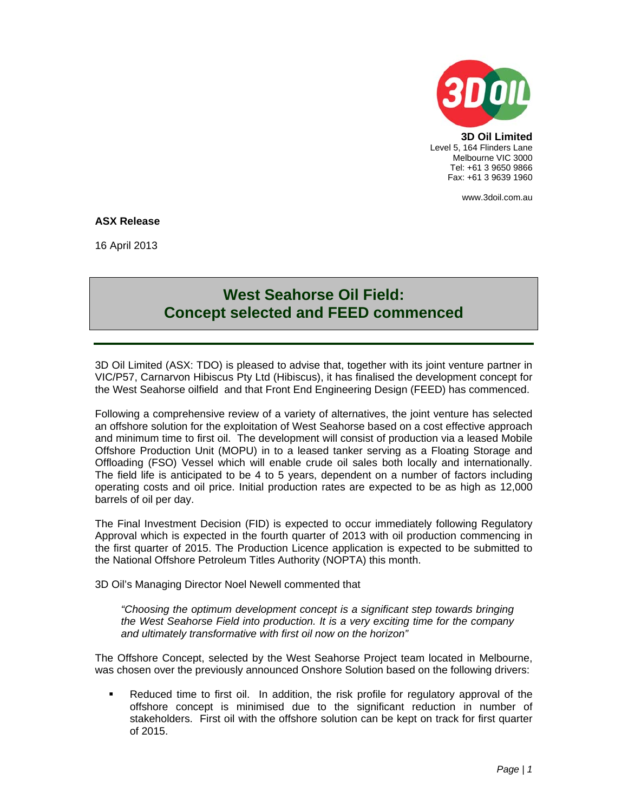

**3D Oil Limited**  Level 5, 164 Flinders Lane Melbourne VIC 3000 Tel: +61 3 9650 9866 Fax: +61 3 9639 1960

www.3doil.com.au

# **ASX Release**

16 April 2013

# **West Seahorse Oil Field: Concept selected and FEED commenced**

3D Oil Limited (ASX: TDO) is pleased to advise that, together with its joint venture partner in VIC/P57, Carnarvon Hibiscus Pty Ltd (Hibiscus), it has finalised the development concept for the West Seahorse oilfield and that Front End Engineering Design (FEED) has commenced.

Following a comprehensive review of a variety of alternatives, the joint venture has selected an offshore solution for the exploitation of West Seahorse based on a cost effective approach and minimum time to first oil. The development will consist of production via a leased Mobile Offshore Production Unit (MOPU) in to a leased tanker serving as a Floating Storage and Offloading (FSO) Vessel which will enable crude oil sales both locally and internationally. The field life is anticipated to be 4 to 5 years, dependent on a number of factors including operating costs and oil price. Initial production rates are expected to be as high as 12,000 barrels of oil per day.

The Final Investment Decision (FID) is expected to occur immediately following Regulatory Approval which is expected in the fourth quarter of 2013 with oil production commencing in the first quarter of 2015. The Production Licence application is expected to be submitted to the National Offshore Petroleum Titles Authority (NOPTA) this month.

3D Oil's Managing Director Noel Newell commented that

*"Choosing the optimum development concept is a significant step towards bringing the West Seahorse Field into production. It is a very exciting time for the company and ultimately transformative with first oil now on the horizon"* 

The Offshore Concept, selected by the West Seahorse Project team located in Melbourne, was chosen over the previously announced Onshore Solution based on the following drivers:

 Reduced time to first oil. In addition, the risk profile for regulatory approval of the offshore concept is minimised due to the significant reduction in number of stakeholders. First oil with the offshore solution can be kept on track for first quarter of 2015.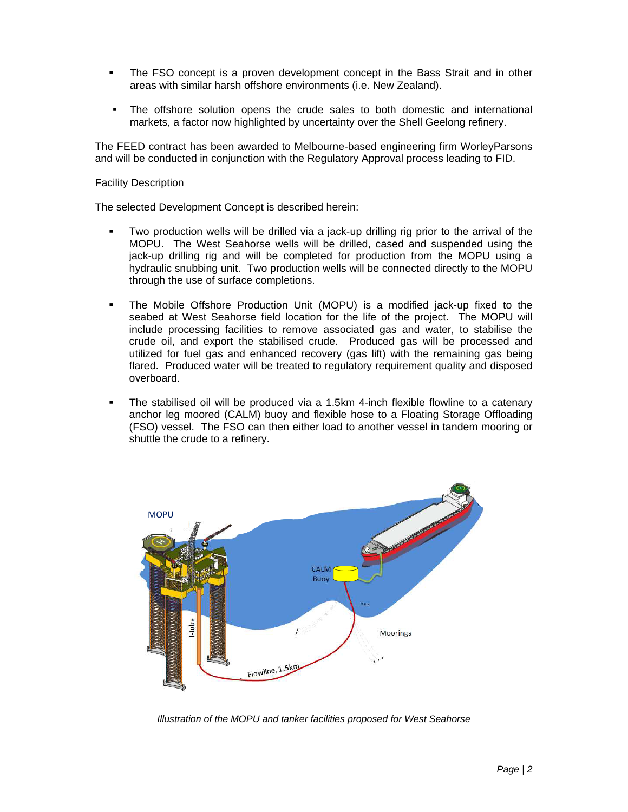- The FSO concept is a proven development concept in the Bass Strait and in other areas with similar harsh offshore environments (i.e. New Zealand).
- The offshore solution opens the crude sales to both domestic and international markets, a factor now highlighted by uncertainty over the Shell Geelong refinery.

The FEED contract has been awarded to Melbourne-based engineering firm WorleyParsons and will be conducted in conjunction with the Regulatory Approval process leading to FID.

# Facility Description

The selected Development Concept is described herein:

- Two production wells will be drilled via a jack-up drilling rig prior to the arrival of the MOPU. The West Seahorse wells will be drilled, cased and suspended using the jack-up drilling rig and will be completed for production from the MOPU using a hydraulic snubbing unit. Two production wells will be connected directly to the MOPU through the use of surface completions.
- The Mobile Offshore Production Unit (MOPU) is a modified jack-up fixed to the seabed at West Seahorse field location for the life of the project. The MOPU will include processing facilities to remove associated gas and water, to stabilise the crude oil, and export the stabilised crude. Produced gas will be processed and utilized for fuel gas and enhanced recovery (gas lift) with the remaining gas being flared. Produced water will be treated to regulatory requirement quality and disposed overboard.
- The stabilised oil will be produced via a 1.5km 4-inch flexible flowline to a catenary anchor leg moored (CALM) buoy and flexible hose to a Floating Storage Offloading (FSO) vessel. The FSO can then either load to another vessel in tandem mooring or shuttle the crude to a refinery.



*Illustration of the MOPU and tanker facilities proposed for West Seahorse*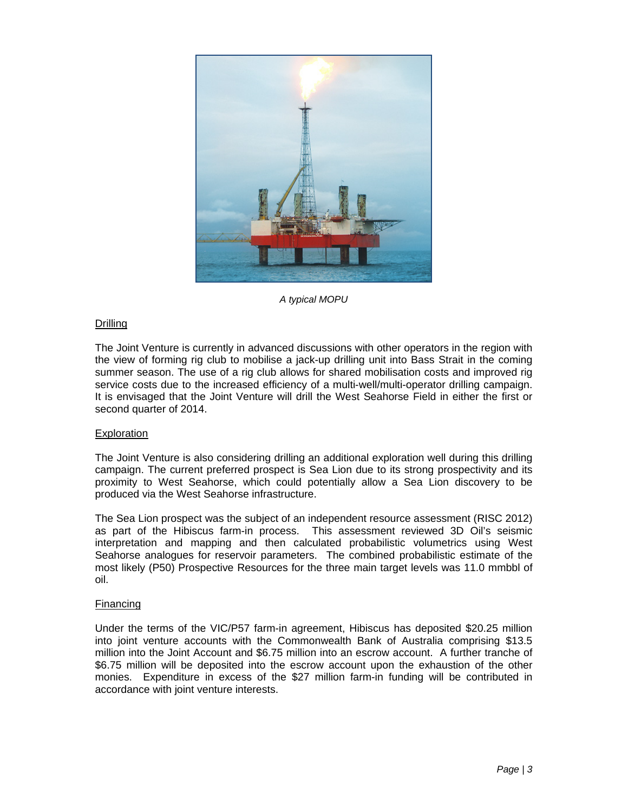

*A typical MOPU* 

# **Drilling**

The Joint Venture is currently in advanced discussions with other operators in the region with the view of forming rig club to mobilise a jack-up drilling unit into Bass Strait in the coming summer season. The use of a rig club allows for shared mobilisation costs and improved rig service costs due to the increased efficiency of a multi-well/multi-operator drilling campaign. It is envisaged that the Joint Venture will drill the West Seahorse Field in either the first or second quarter of 2014.

# Exploration

The Joint Venture is also considering drilling an additional exploration well during this drilling campaign. The current preferred prospect is Sea Lion due to its strong prospectivity and its proximity to West Seahorse, which could potentially allow a Sea Lion discovery to be produced via the West Seahorse infrastructure.

The Sea Lion prospect was the subject of an independent resource assessment (RISC 2012) as part of the Hibiscus farm-in process. This assessment reviewed 3D Oil's seismic interpretation and mapping and then calculated probabilistic volumetrics using West Seahorse analogues for reservoir parameters. The combined probabilistic estimate of the most likely (P50) Prospective Resources for the three main target levels was 11.0 mmbbl of oil.

# Financing

Under the terms of the VIC/P57 farm-in agreement, Hibiscus has deposited \$20.25 million into joint venture accounts with the Commonwealth Bank of Australia comprising \$13.5 million into the Joint Account and \$6.75 million into an escrow account. A further tranche of \$6.75 million will be deposited into the escrow account upon the exhaustion of the other monies. Expenditure in excess of the \$27 million farm-in funding will be contributed in accordance with joint venture interests.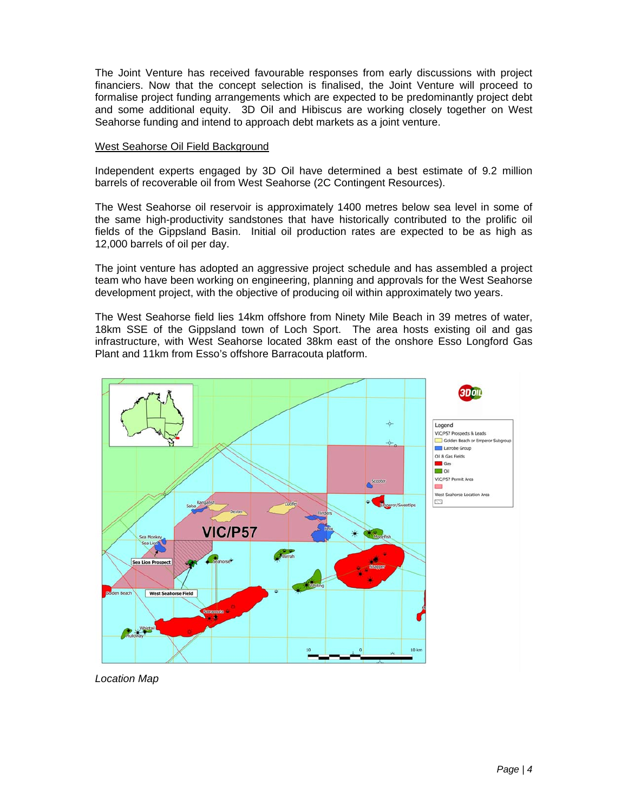The Joint Venture has received favourable responses from early discussions with project financiers. Now that the concept selection is finalised, the Joint Venture will proceed to formalise project funding arrangements which are expected to be predominantly project debt and some additional equity. 3D Oil and Hibiscus are working closely together on West Seahorse funding and intend to approach debt markets as a joint venture.

# West Seahorse Oil Field Background

Independent experts engaged by 3D Oil have determined a best estimate of 9.2 million barrels of recoverable oil from West Seahorse (2C Contingent Resources).

The West Seahorse oil reservoir is approximately 1400 metres below sea level in some of the same high-productivity sandstones that have historically contributed to the prolific oil fields of the Gippsland Basin. Initial oil production rates are expected to be as high as 12,000 barrels of oil per day.

The joint venture has adopted an aggressive project schedule and has assembled a project team who have been working on engineering, planning and approvals for the West Seahorse development project, with the objective of producing oil within approximately two years.

The West Seahorse field lies 14km offshore from Ninety Mile Beach in 39 metres of water, 18km SSE of the Gippsland town of Loch Sport. The area hosts existing oil and gas infrastructure, with West Seahorse located 38km east of the onshore Esso Longford Gas Plant and 11km from Esso's offshore Barracouta platform.



*Location Map*